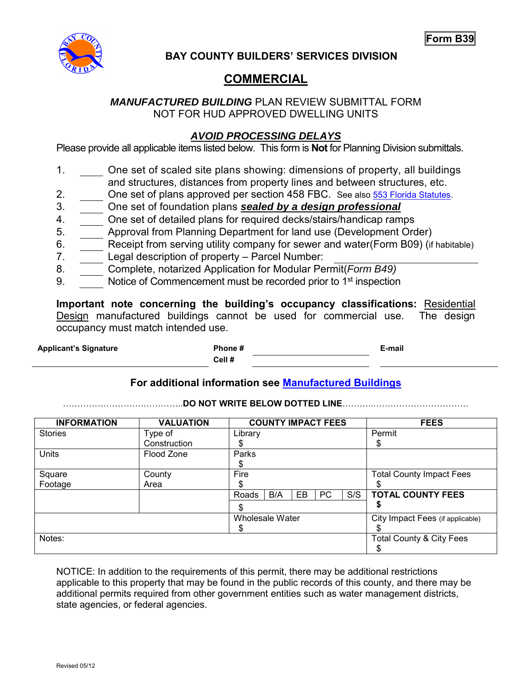**Form B39** 



**BAY COUNTY BUILDERS' SERVICES DIVISION** 

## **COMMERCIAL**

### *MANUFACTURED BUILDING* PLAN REVIEW SUBMITTAL FORM NOT FOR HUD APPROVED DWELLING UNITS

### *AVOID PROCESSING DELAYS*

Please provide all applicable items listed below. This form is **Not** for Planning Division submittals.

- 1. One set of scaled site plans showing: dimensions of property, all buildings and structures, distances from property lines and between structures, etc.
- 2. One set of plans approved per section 458 FBC. See also [553 Florida Statutes.](http://www.flsenate.gov/Laws/Statutes/2017/Chapter553/PART_I/)
- 3. One set of foundation plans *sealed by a design professional*
- 4. One set of detailed plans for required decks/stairs/handicap ramps
- 5. Approval from Planning Department for land use (Development Order)
- 6. Receipt from serving utility company for sewer and water(Form B09) (if habitable)
- 7. Legal description of property Parcel Number:
- 8. Complete, notarized Application for Modular Permit(*Form B49)*
- 9. Notice of Commencement must be recorded prior to 1<sup>st</sup> inspection

**Important note concerning the building's occupancy classifications:** Residential Design manufactured buildings cannot be used for commercial use. The design occupancy must match intended use.

**Applicant's Signature Phone # E-mail Cell #**

### **For additional information see [Manufactured Buildings](http://www.floridabuilding.org/c/default.aspx)**

……………………….…………..**DO NOT WRITE BELOW DOTTED LINE**………..……………………………

| <b>INFORMATION</b> | <b>VALUATION</b> | <b>COUNTY IMPACT FEES</b>       | <b>FEES</b>                         |
|--------------------|------------------|---------------------------------|-------------------------------------|
| <b>Stories</b>     | Type of          | Library                         | Permit                              |
|                    | Construction     |                                 | S                                   |
| <b>Units</b>       | Flood Zone       | Parks                           |                                     |
|                    |                  |                                 |                                     |
| Square             | County           | Fire                            | <b>Total County Impact Fees</b>     |
| Footage            | Area             | S                               |                                     |
|                    |                  | S/S<br>B/A<br>PC<br>EB<br>Roads | <b>TOTAL COUNTY FEES</b>            |
|                    |                  |                                 |                                     |
|                    |                  | Wholesale Water                 | City Impact Fees (if applicable)    |
|                    |                  | S.                              |                                     |
| Notes:             |                  |                                 | <b>Total County &amp; City Fees</b> |
|                    |                  |                                 |                                     |

NOTICE: In addition to the requirements of this permit, there may be additional restrictions applicable to this property that may be found in the public records of this county, and there may be additional permits required from other government entities such as water management districts, state agencies, or federal agencies.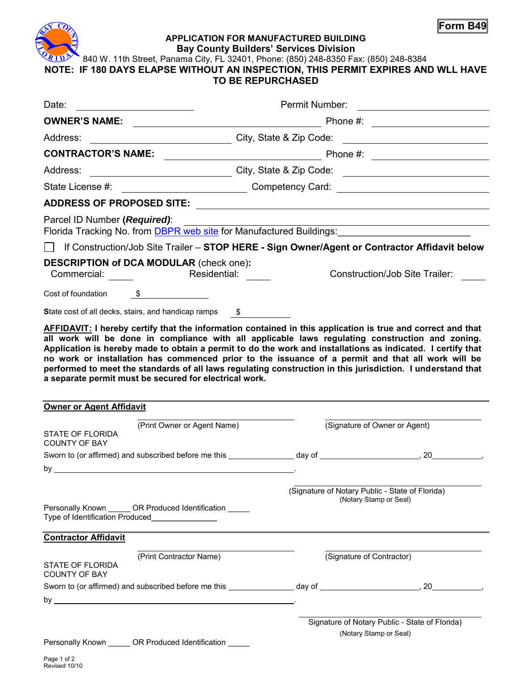

#### **APPLICATION FOR MANUFACTURED BUILDING Bay County Builders' Services Division**

6840 W. 11th Street, Panama City, FL 32401, Phone: (850) 248-8350 Fax: (850) 248-8384

**NOTE: IF 180 DAYS ELAPSE WITHOUT AN INSPECTION, THIS PERMIT EXPIRES AND WLL HAVE** 

## **TO BE REPURCHASED**

| Date:                                                                                                                                                                                                                                                                                                         | Permit Number:<br><u> 1980 - Andrea Andrew Maria (h. 1980).</u>                                      |                                                                                                                       |  |  |
|---------------------------------------------------------------------------------------------------------------------------------------------------------------------------------------------------------------------------------------------------------------------------------------------------------------|------------------------------------------------------------------------------------------------------|-----------------------------------------------------------------------------------------------------------------------|--|--|
| <b>OWNER'S NAME:</b>                                                                                                                                                                                                                                                                                          | <u> 1989 - Johann Barbara, martin din shekara 1989 - André a Santana (b. 1989)</u>                   |                                                                                                                       |  |  |
| Address:                                                                                                                                                                                                                                                                                                      |                                                                                                      |                                                                                                                       |  |  |
| <b>CONTRACTOR'S NAME:</b>                                                                                                                                                                                                                                                                                     |                                                                                                      |                                                                                                                       |  |  |
| Address:                                                                                                                                                                                                                                                                                                      |                                                                                                      |                                                                                                                       |  |  |
|                                                                                                                                                                                                                                                                                                               | State License #: ________________________________Competency Card: __________________________________ |                                                                                                                       |  |  |
|                                                                                                                                                                                                                                                                                                               |                                                                                                      |                                                                                                                       |  |  |
| Parcel ID Number (Required):<br>Florida Tracking No. from <b>DBPR</b> web site for Manufactured Buildings: <b>Conservation Conservation</b>                                                                                                                                                                   |                                                                                                      | <u> 1989 - Johann Barn, mars ann an t-Amhain Aonaich an t-Aonaich an t-Aonaich an t-Aonaich an t-Aonaich an t-Aon</u> |  |  |
|                                                                                                                                                                                                                                                                                                               | If Construction/Job Site Trailer - STOP HERE - Sign Owner/Agent or Contractor Affidavit below        |                                                                                                                       |  |  |
| <b>DESCRIPTION of DCA MODULAR (check one):</b><br>Commercial:                                                                                                                                                                                                                                                 | Residential:                                                                                         | Construction/Job Site Trailer:                                                                                        |  |  |
| Cost of foundation<br>$\frac{1}{2}$                                                                                                                                                                                                                                                                           |                                                                                                      |                                                                                                                       |  |  |
| State cost of all decks, stairs, and handicap ramps \$                                                                                                                                                                                                                                                        |                                                                                                      |                                                                                                                       |  |  |
| no work or installation has commenced prior to the issuance of a permit and that all work will be<br>performed to meet the standards of all laws regulating construction in this jurisdiction. I understand that<br>a separate permit must be secured for electrical work.<br><b>Owner or Agent Affidavit</b> |                                                                                                      |                                                                                                                       |  |  |
| (Print Owner or Agent Name)                                                                                                                                                                                                                                                                                   |                                                                                                      | (Signature of Owner or Agent)                                                                                         |  |  |
| <b>STATE OF FLORIDA</b><br><b>COUNTY OF BAY</b>                                                                                                                                                                                                                                                               |                                                                                                      |                                                                                                                       |  |  |
|                                                                                                                                                                                                                                                                                                               |                                                                                                      |                                                                                                                       |  |  |
| by $\overline{\phantom{a}}$                                                                                                                                                                                                                                                                                   |                                                                                                      |                                                                                                                       |  |  |
| Personally Known ______ OR Produced Identification _____<br>Type of Identification Produced________________                                                                                                                                                                                                   |                                                                                                      | (Signature of Notary Public - State of Florida)<br>(Notary Stamp or Seal)                                             |  |  |
| <b>Contractor Affidavit</b>                                                                                                                                                                                                                                                                                   |                                                                                                      |                                                                                                                       |  |  |
| (Print Contractor Name)<br><b>STATE OF FLORIDA</b><br><b>COUNTY OF BAY</b>                                                                                                                                                                                                                                    |                                                                                                      | (Signature of Contractor)                                                                                             |  |  |
| by $\overline{\phantom{a}}$                                                                                                                                                                                                                                                                                   |                                                                                                      |                                                                                                                       |  |  |
|                                                                                                                                                                                                                                                                                                               |                                                                                                      |                                                                                                                       |  |  |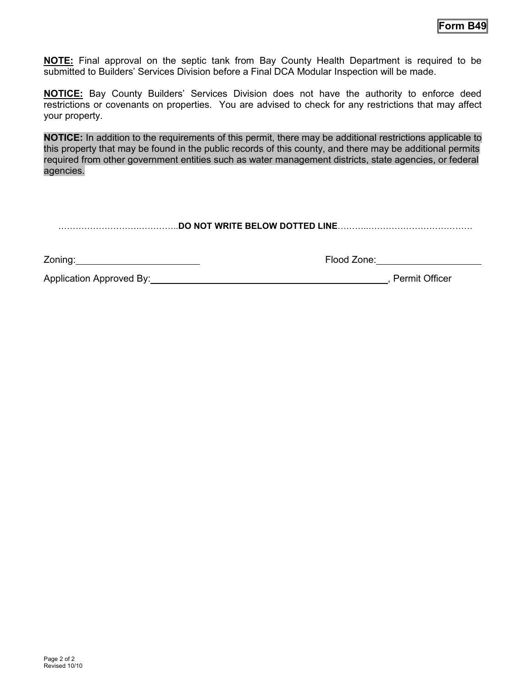**NOTE:** Final approval on the septic tank from Bay County Health Department is required to be submitted to Builders' Services Division before a Final DCA Modular Inspection will be made.

**NOTICE:** Bay County Builders' Services Division does not have the authority to enforce deed restrictions or covenants on properties. You are advised to check for any restrictions that may affect your property.

**NOTICE:** In addition to the requirements of this permit, there may be additional restrictions applicable to this property that may be found in the public records of this county, and there may be additional permits required from other government entities such as water management districts, state agencies, or federal agencies.

……………………….…………..**DO NOT WRITE BELOW DOTTED LINE**………..………………………………

| Zoning: | Flood Zone: |
|---------|-------------|
|---------|-------------|

Application Approved By:  $\blacksquare$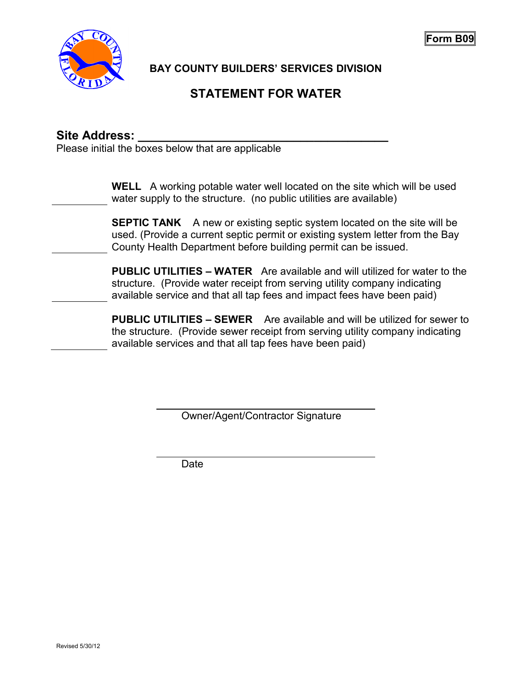

**Form B09** 

**BAY COUNTY BUILDERS' SERVICES DIVISION** 

# **STATEMENT FOR WATER**

## Site Address:

Please initial the boxes below that are applicable

**WELL** A working potable water well located on the site which will be used water supply to the structure. (no public utilities are available)

**SEPTIC TANK** A new or existing septic system located on the site will be used. (Provide a current septic permit or existing system letter from the Bay County Health Department before building permit can be issued.

**PUBLIC UTILITIES – WATER** Are available and will utilized for water to the structure. (Provide water receipt from serving utility company indicating available service and that all tap fees and impact fees have been paid)

**PUBLIC UTILITIES – SEWER** Are available and will be utilized for sewer to the structure. (Provide sewer receipt from serving utility company indicating available services and that all tap fees have been paid)

Owner/Agent/Contractor Signature

Date

 $\overline{a}$ 

 $\overline{a}$